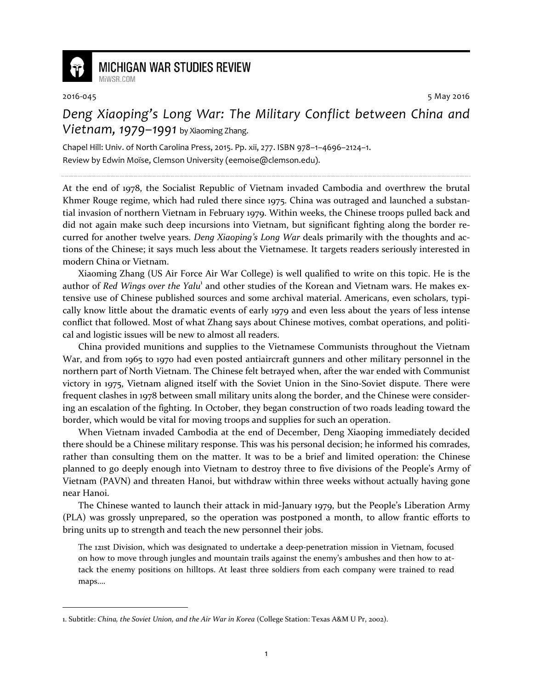

**MICHIGAN WAR STUDIES REVIEW** MiWSR COM

l

2016-045 5 May 2016

Deng Xiaoping's Long War: The Military Conflict between China and Vietnam, 1979–1991 by Xiaoming Zhang.

Chapel Hill: Univ. of North Carolina Press, 2015. Pp. xii, 277. ISBN 978–1–4696–2124–1. Review by Edwin Moïse, Clemson University (eemoise@clemson.edu).

At the end of 1978, the Socialist Republic of Vietnam invaded Cambodia and overthrew the brutal Khmer Rouge regime, which had ruled there since 1975. China was outraged and launched a substantial invasion of northern Vietnam in February 1979. Within weeks, the Chinese troops pulled back and did not again make such deep incursions into Vietnam, but significant fighting along the border recurred for another twelve years. Deng Xiaoping's Long War deals primarily with the thoughts and actions of the Chinese; it says much less about the Vietnamese. It targets readers seriously interested in modern China or Vietnam.

Xiaoming Zhang (US Air Force Air War College) is well qualified to write on this topic. He is the author of Red Wings over the Yalu<sup>1</sup> and other studies of the Korean and Vietnam wars. He makes extensive use of Chinese published sources and some archival material. Americans, even scholars, typically know little about the dramatic events of early 1979 and even less about the years of less intense conflict that followed. Most of what Zhang says about Chinese motives, combat operations, and political and logistic issues will be new to almost all readers.

China provided munitions and supplies to the Vietnamese Communists throughout the Vietnam War, and from 1965 to 1970 had even posted antiaircraft gunners and other military personnel in the northern part of North Vietnam. The Chinese felt betrayed when, after the war ended with Communist victory in 1975, Vietnam aligned itself with the Soviet Union in the Sino-Soviet dispute. There were frequent clashes in 1978 between small military units along the border, and the Chinese were considering an escalation of the fighting. In October, they began construction of two roads leading toward the border, which would be vital for moving troops and supplies for such an operation.

When Vietnam invaded Cambodia at the end of December, Deng Xiaoping immediately decided there should be a Chinese military response. This was his personal decision; he informed his comrades, rather than consulting them on the matter. It was to be a brief and limited operation: the Chinese planned to go deeply enough into Vietnam to destroy three to five divisions of the People's Army of Vietnam (PAVN) and threaten Hanoi, but withdraw within three weeks without actually having gone near Hanoi.

The Chinese wanted to launch their attack in mid-January 1979, but the People's Liberation Army (PLA) was grossly unprepared, so the operation was postponed a month, to allow frantic efforts to bring units up to strength and teach the new personnel their jobs.

The 121st Division, which was designated to undertake a deep-penetration mission in Vietnam, focused on how to move through jungles and mountain trails against the enemy's ambushes and then how to attack the enemy positions on hilltops. At least three soldiers from each company were trained to read maps….

<sup>1.</sup> Subtitle: China, the Soviet Union, and the Air War in Korea (College Station: Texas A&M U Pr, 2002).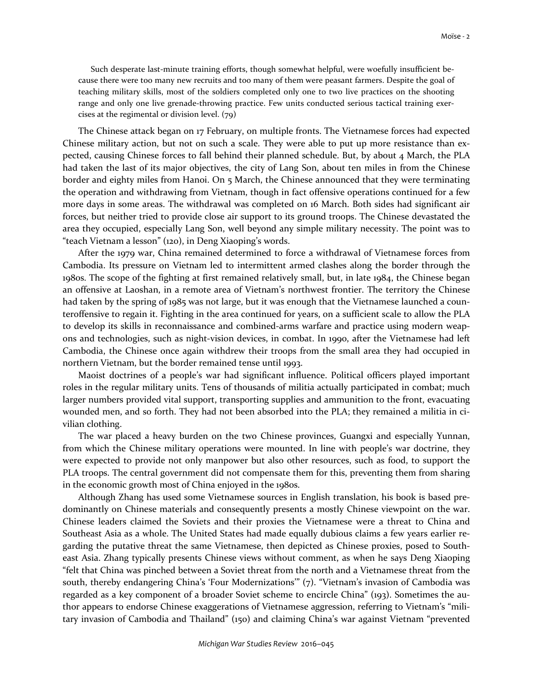Such desperate last-minute training efforts, though somewhat helpful, were woefully insufficient because there were too many new recruits and too many of them were peasant farmers. Despite the goal of teaching military skills, most of the soldiers completed only one to two live practices on the shooting range and only one live grenade-throwing practice. Few units conducted serious tactical training exercises at the regimental or division level. (79)

The Chinese attack began on 17 February, on multiple fronts. The Vietnamese forces had expected Chinese military action, but not on such a scale. They were able to put up more resistance than expected, causing Chinese forces to fall behind their planned schedule. But, by about 4 March, the PLA had taken the last of its major objectives, the city of Lang Son, about ten miles in from the Chinese border and eighty miles from Hanoi. On 5 March, the Chinese announced that they were terminating the operation and withdrawing from Vietnam, though in fact offensive operations continued for a few more days in some areas. The withdrawal was completed on 16 March. Both sides had significant air forces, but neither tried to provide close air support to its ground troops. The Chinese devastated the area they occupied, especially Lang Son, well beyond any simple military necessity. The point was to "teach Vietnam a lesson" (120), in Deng Xiaoping's words.

After the 1979 war, China remained determined to force a withdrawal of Vietnamese forces from Cambodia. Its pressure on Vietnam led to intermittent armed clashes along the border through the 1980s. The scope of the fighting at first remained relatively small, but, in late 1984, the Chinese began an offensive at Laoshan, in a remote area of Vietnam's northwest frontier. The territory the Chinese had taken by the spring of 1985 was not large, but it was enough that the Vietnamese launched a counteroffensive to regain it. Fighting in the area continued for years, on a sufficient scale to allow the PLA to develop its skills in reconnaissance and combined-arms warfare and practice using modern weapons and technologies, such as night-vision devices, in combat. In 1990, after the Vietnamese had left Cambodia, the Chinese once again withdrew their troops from the small area they had occupied in northern Vietnam, but the border remained tense until 1993.

Maoist doctrines of a people's war had significant influence. Political officers played important roles in the regular military units. Tens of thousands of militia actually participated in combat; much larger numbers provided vital support, transporting supplies and ammunition to the front, evacuating wounded men, and so forth. They had not been absorbed into the PLA; they remained a militia in civilian clothing.

The war placed a heavy burden on the two Chinese provinces, Guangxi and especially Yunnan, from which the Chinese military operations were mounted. In line with people's war doctrine, they were expected to provide not only manpower but also other resources, such as food, to support the PLA troops. The central government did not compensate them for this, preventing them from sharing in the economic growth most of China enjoyed in the 1980s.

Although Zhang has used some Vietnamese sources in English translation, his book is based predominantly on Chinese materials and consequently presents a mostly Chinese viewpoint on the war. Chinese leaders claimed the Soviets and their proxies the Vietnamese were a threat to China and Southeast Asia as a whole. The United States had made equally dubious claims a few years earlier regarding the putative threat the same Vietnamese, then depicted as Chinese proxies, posed to Southeast Asia. Zhang typically presents Chinese views without comment, as when he says Deng Xiaoping "felt that China was pinched between a Soviet threat from the north and a Vietnamese threat from the south, thereby endangering China's 'Four Modernizations'" (7). "Vietnam's invasion of Cambodia was regarded as a key component of a broader Soviet scheme to encircle China" (193). Sometimes the author appears to endorse Chinese exaggerations of Vietnamese aggression, referring to Vietnam's "military invasion of Cambodia and Thailand" (150) and claiming China's war against Vietnam "prevented